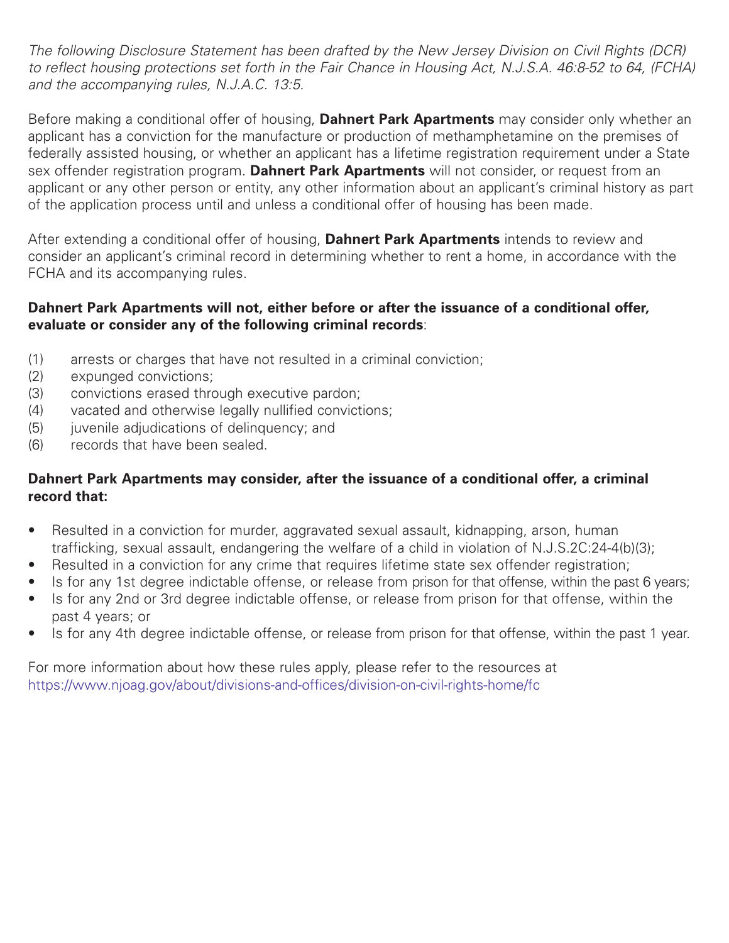*The following Disclosure Statement has been drafted by the New Jersey Division on Civil Rights (DCR)* to reflect housing protections set forth in the Fair Chance in Housing Act, N.J.S.A. 46:8-52 to 64, (FCHA) *and the accompanying rules, N.J.A.C. 13:5.*

Before making a conditional offer of housing, **Dahnert Park Apartments** may consider only whether an applicant has a conviction for the manufacture or production of methamphetamine on the premises of federally assisted housing, or whether an applicant has a lifetime registration requirement under a State sex offender registration program. **Dahnert Park Apartments** will not consider, or request from an applicant or any other person or entity, any other information about an applicant's criminal history as part of the application process until and unless a conditional offer of housing has been made.

After extending a conditional offer of housing, **Dahnert Park Apartments** intends to review and consider an applicant's criminal record in determining whether to rent a home, in accordance with the FCHA and its accompanying rules.

## **Dahnert Park Apartments will not, either before or after the issuance of a conditional offer, evaluate or consider any of the following criminal records**:

- (1) arrests or charges that have not resulted in a criminal conviction;
- (2) expunged convictions;
- (3) convictions erased through executive pardon;
- (4) vacated and otherwise legally nullified convictions;
- (5) juvenile adjudications of delinguency; and
- (6) records that have been sealed.

## **Dahnert Park Apartments may consider, after the issuance of a conditional offer, a criminal record that:**

- Resulted in a conviction for murder, aggravated sexual assault, kidnapping, arson, human trafficking, sexual assault, endangering the welfare of a child in violation of N.J.S.2C:24-4(b)(3);
- Resulted in a conviction for any crime that requires lifetime state sex offender registration;
- Is for any 1st degree indictable offense, or release from prison for that offense, within the past 6 years;
- Is for any 2nd or 3rd degree indictable offense, or release from prison for that offense, within the past 4 years; or
- Is for any 4th degree indictable offense, or release from prison for that offense, within the past 1 year.

For more information about how these rules apply, please refer to the resources at https://www.njoag.gov/about/divisions-and-offices/division-on-civil-rights-home/fc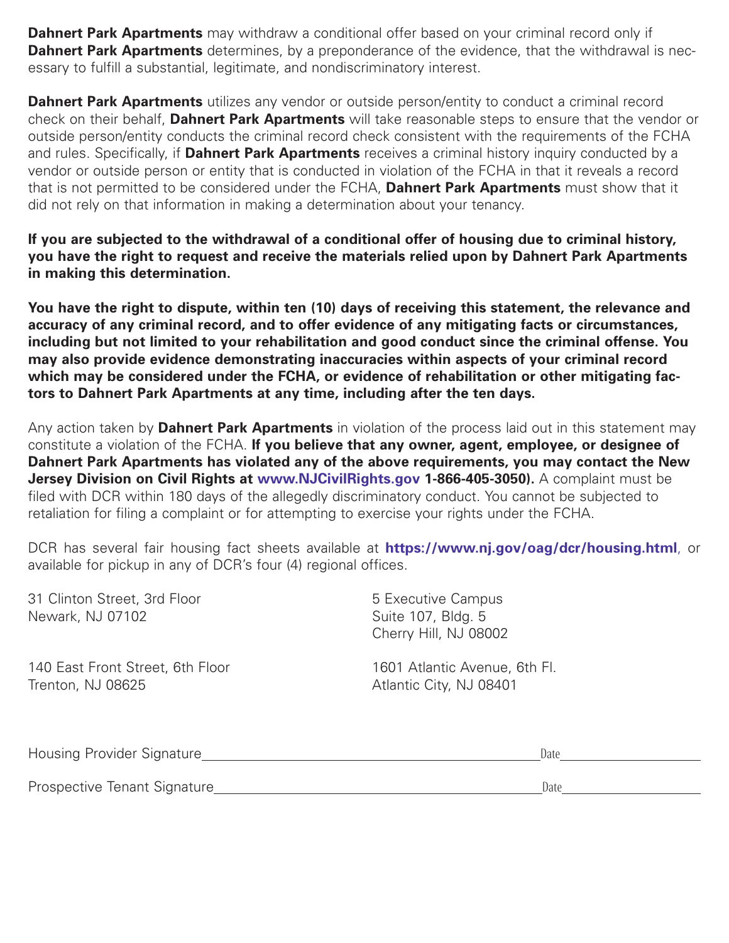**Dahnert Park Apartments** may withdraw a conditional offer based on your criminal record only if **Dahnert Park Apartments** determines, by a preponderance of the evidence, that the withdrawal is necessary to fulfill a substantial, legitimate, and nondiscriminatory interest.

**Dahnert Park Apartments** utilizes any vendor or outside person/entity to conduct a criminal record check on their behalf, **Dahnert Park Apartments** will take reasonable steps to ensure that the vendor or outside person/entity conducts the criminal record check consistent with the requirements of the FCHA and rules. Specifically, if **Dahnert Park Apartments** receives a criminal history inquiry conducted by a vendor or outside person or entity that is conducted in violation of the FCHA in that it reveals a record that is not permitted to be considered under the FCHA, **Dahnert Park Apartments** must show that it did not rely on that information in making a determination about your tenancy.

**If you are subjected to the withdrawal of a conditional offer of housing due to criminal history, you have the right to request and receive the materials relied upon by Dahnert Park Apartments in making this determination.**

**You have the right to dispute, within ten (10) days of receiving this statement, the relevance and accuracy of any criminal record, and to offer evidence of any mitigating facts or circumstances, including but not limited to your rehabilitation and good conduct since the criminal offense. You may also provide evidence demonstrating inaccuracies within aspects of your criminal record which may be considered under the FCHA, or evidence of rehabilitation or other mitigating factors to Dahnert Park Apartments at any time, including after the ten days.**

Any action taken by **Dahnert Park Apartments** in violation of the process laid out in this statement may constitute a violation of the FCHA. **If you believe that any owner, agent, employee, or designee of Dahnert Park Apartments has violated any of the above requirements, you may contact the New Jersey Division on Civil Rights at www.NJCivilRights.gov 1-866-405-3050).** A complaint must be filed with DCR within 180 days of the allegedly discriminatory conduct. You cannot be subjected to retaliation for filing a complaint or for attempting to exercise your rights under the FCHA.

DCR has several fair housing fact sheets available at **https://www.nj.gov/oag/dcr/housing.html**, or available for pickup in any of DCR's four (4) regional offices.

| 31 Clinton Street, 3rd Floor<br>Newark, NJ 07102 | 5 Executive Campus<br>Suite 107, Bldg. 5<br>Cherry Hill, NJ 08002 |
|--------------------------------------------------|-------------------------------------------------------------------|
| 140 East Front Street, 6th Floor                 | 1601 Atlantic Avenue, 6th Fl.                                     |
| Trenton, NJ 08625                                | Atlantic City, NJ 08401                                           |

| Housing Provider Signature   | Date |
|------------------------------|------|
|                              |      |
| Prospective Tenant Signature | Date |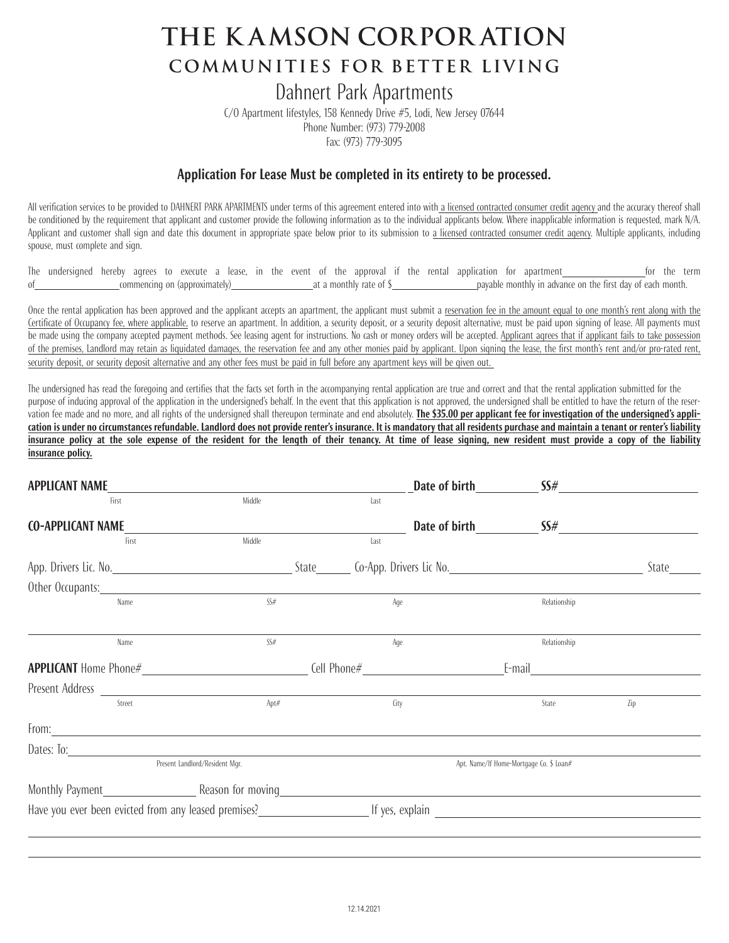# **the K AMSON CORPOR ATION COMMUNITIES FOR BETTER LIVING**

## Dahnert Park Apartments

C/O Apartment lifestyles, 158 Kennedy Drive #5, Lodi, New Jersey 07644 Phone Number: (973) 779-2008 Fax: (973) 779-3095

#### **Application For Lease Must be completed in its entirety to be processed.**

All verification services to be provided to DAHNERT PARK APARTMENTS under terms of this agreement entered into with a licensed contracted consumer credit agency and the accuracy thereof shall be conditioned by the requirement that applicant and customer provide the following information as to the individual applicants below. Where inapplicable information is requested, mark N/A. Applicant and customer shall sign and date this document in appropriate space below prior to its submission to a licensed contracted consumer credit agency. Multiple applicants, including spouse, must complete and sign.

The undersigned hereby agrees to execute a lease, in the event of the approval if the rental application for apartment for the term of commencing on (approximately) at a monthly rate of \$ payable monthly in advance on the first day of each month.

Once the rental application has been approved and the applicant accepts an apartment, the applicant must submit a reservation fee in the amount equal to one month's rent along with the Certificate of Occupancy fee, where applicable, to reserve an apartment. In addition, a security deposit, or a security deposit alternative, must be paid upon signing of lease. All payments must be made using the company accepted payment methods. See leasing agent for instructions. No cash or money orders will be accepted. Applicant agrees that if applicant fails to take possession of the premises, Landlord may retain as liquidated damages, the reservation fee and any other monies paid by applicant. Upon signing the lease, the first month's rent and/or pro-rated rent, security deposit, or security deposit alternative and any other fees must be paid in full before any apartment keys will be given out.

The undersigned has read the foregoing and certifies that the facts set forth in the accompanying rental application are true and correct and that the rental application submitted for the purpose of inducing approval of the application in the undersigned's behalf. In the event that this application is not approved, the undersigned shall be entitled to have the return of the reservation fee made and no more, and all rights of the undersigned shall thereupon terminate and end absolutely. The \$35.00 per applicant fee for investigation of the undersigned's application is under no circumstances refundable. Landlord does not provide renter's insurance. It is mandatory that all residents purchase and maintain a tenant or renter's liability insurance policy at the sole expense of the resident for the length of their tenancy. At time of lease signing, new resident must provide a copy of the liability **insurance policy.**

| <b>APPLICANT NAME</b>    |                                                                                                                                                                                                                                        |      | Date of birth | SS#                                     |       |
|--------------------------|----------------------------------------------------------------------------------------------------------------------------------------------------------------------------------------------------------------------------------------|------|---------------|-----------------------------------------|-------|
| First                    | Middle                                                                                                                                                                                                                                 | last |               |                                         |       |
| <b>CO-APPLICANT NAME</b> |                                                                                                                                                                                                                                        |      |               | Date of birth SS#                       |       |
| First                    | Middle                                                                                                                                                                                                                                 | last |               |                                         |       |
|                          |                                                                                                                                                                                                                                        |      |               |                                         | State |
|                          | Other Occupants: <u>contract the contract of the contract of the contract of the contract of the contract of the contract of the contract of the contract of the contract of the contract of the contract of the contract of the</u>   |      |               |                                         |       |
| Name                     | SS#                                                                                                                                                                                                                                    |      | Age           | Relationship                            |       |
|                          |                                                                                                                                                                                                                                        |      |               |                                         |       |
| Name                     | SS#                                                                                                                                                                                                                                    |      | Age           | Relationship                            |       |
|                          |                                                                                                                                                                                                                                        |      |               | E-mail <u>_______________________</u>   |       |
|                          | Present Address $\overline{\qquad \qquad }$                                                                                                                                                                                            |      |               |                                         |       |
| Street                   | Apt#                                                                                                                                                                                                                                   |      | City          | State                                   | Zip   |
|                          | From: <u>contract the contract of the contract of the contract of the contract of the contract of the contract of the contract of the contract of the contract of the contract of the contract of the contract of the contract o</u>   |      |               |                                         |       |
|                          |                                                                                                                                                                                                                                        |      |               |                                         |       |
|                          | Present Landlord/Resident Mgr.                                                                                                                                                                                                         |      |               | Apt. Name/If Home-Mortgage Co. \$ Loan# |       |
|                          |                                                                                                                                                                                                                                        |      |               |                                         |       |
|                          | Have you ever been evicted from any leased premises?<br><u>Letter and the second of yes, explain and the contract of the second of the second of the second of the second of the second of the second of the second of the second </u> |      |               |                                         |       |
|                          |                                                                                                                                                                                                                                        |      |               |                                         |       |
|                          |                                                                                                                                                                                                                                        |      |               |                                         |       |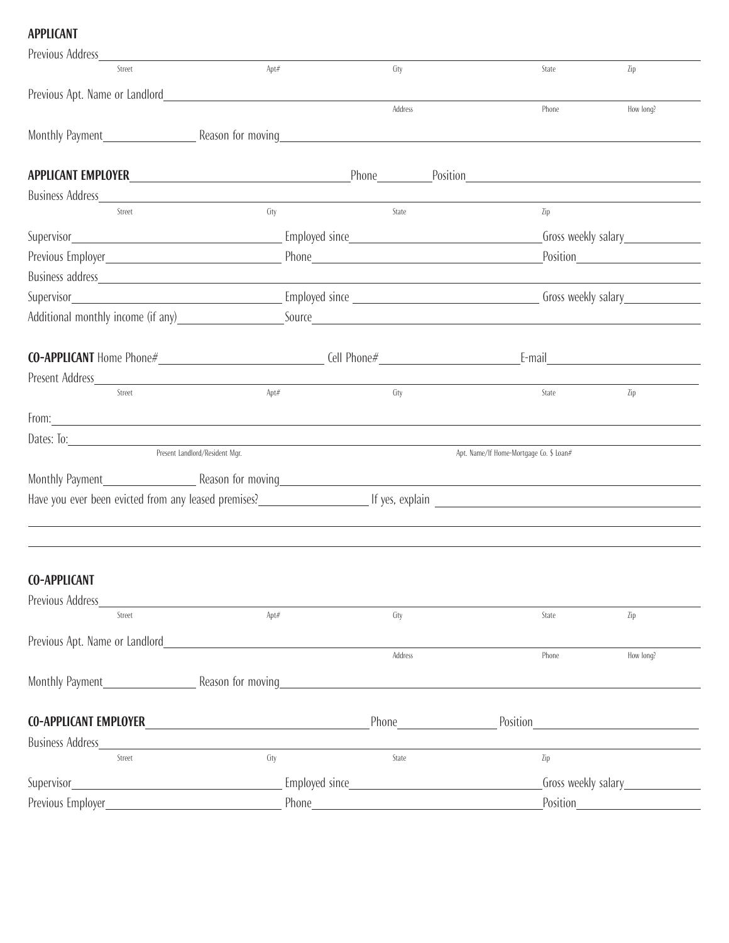## **APPLICANT**

| Previous Address                                                                                                                                                                                                                     |                                                               |                    |                                         |                                    |  |  |
|--------------------------------------------------------------------------------------------------------------------------------------------------------------------------------------------------------------------------------------|---------------------------------------------------------------|--------------------|-----------------------------------------|------------------------------------|--|--|
| Street                                                                                                                                                                                                                               | Apt#                                                          | City               | State                                   | Zip                                |  |  |
| Previous Apt. Name or Landlord                                                                                                                                                                                                       |                                                               |                    |                                         |                                    |  |  |
|                                                                                                                                                                                                                                      |                                                               | Address            | Phone                                   | How long?                          |  |  |
| Monthly Payment                                                                                                                                                                                                                      | Reason for moving                                             |                    |                                         |                                    |  |  |
|                                                                                                                                                                                                                                      |                                                               |                    |                                         |                                    |  |  |
| APPLICANT EMPLOYER                                                                                                                                                                                                                   |                                                               |                    |                                         |                                    |  |  |
|                                                                                                                                                                                                                                      |                                                               |                    |                                         |                                    |  |  |
| Street                                                                                                                                                                                                                               | City                                                          | State              | Zip                                     |                                    |  |  |
|                                                                                                                                                                                                                                      |                                                               |                    |                                         |                                    |  |  |
|                                                                                                                                                                                                                                      |                                                               |                    |                                         |                                    |  |  |
|                                                                                                                                                                                                                                      |                                                               |                    |                                         |                                    |  |  |
|                                                                                                                                                                                                                                      |                                                               |                    |                                         |                                    |  |  |
| Additional monthly income (if any) Source Source Source Source Source Source Source Additional monthly income (if any)                                                                                                               |                                                               |                    |                                         |                                    |  |  |
|                                                                                                                                                                                                                                      |                                                               |                    |                                         |                                    |  |  |
| Present Address                                                                                                                                                                                                                      |                                                               |                    |                                         |                                    |  |  |
| Street                                                                                                                                                                                                                               | Apt#                                                          | City               | State                                   | Zip                                |  |  |
| From: <u>contract the contract of the contract of the contract of the contract of the contract of the contract of the contract of the contract of the contract of the contract of the contract of the contract of the contract o</u> |                                                               |                    |                                         |                                    |  |  |
|                                                                                                                                                                                                                                      |                                                               |                    |                                         |                                    |  |  |
|                                                                                                                                                                                                                                      | Present Landlord/Resident Mgr.                                |                    | Apt. Name/If Home-Mortgage Co. \$ Loan# |                                    |  |  |
|                                                                                                                                                                                                                                      |                                                               |                    |                                         |                                    |  |  |
| Have you ever been evicted from any leased premises?<br>The section of the section of the section of the section of the section of the section of the section of the s                                                               |                                                               |                    |                                         |                                    |  |  |
|                                                                                                                                                                                                                                      |                                                               |                    |                                         |                                    |  |  |
|                                                                                                                                                                                                                                      |                                                               |                    |                                         |                                    |  |  |
| <b>CO-APPLICANT</b>                                                                                                                                                                                                                  |                                                               |                    |                                         |                                    |  |  |
| Previous Address                                                                                                                                                                                                                     |                                                               |                    |                                         |                                    |  |  |
| Street                                                                                                                                                                                                                               | Apt#                                                          | City               | State                                   | Zip                                |  |  |
| Previous Apt. Name or Landlord                                                                                                                                                                                                       |                                                               |                    |                                         |                                    |  |  |
|                                                                                                                                                                                                                                      |                                                               | Address            | Phone                                   | How long?                          |  |  |
|                                                                                                                                                                                                                                      |                                                               |                    |                                         |                                    |  |  |
|                                                                                                                                                                                                                                      |                                                               |                    |                                         |                                    |  |  |
| <b>CO-APPLICANT EMPLOYER</b>                                                                                                                                                                                                         | <u> 1980 - Johann Barn, mars an t-Amerikaansk politiker (</u> | <b>Phone</b> Phone |                                         | Position <u>__________________</u> |  |  |
| <b>Business Address</b>                                                                                                                                                                                                              |                                                               |                    |                                         |                                    |  |  |
| Street                                                                                                                                                                                                                               | City                                                          | State              | Zip                                     |                                    |  |  |
| Supervisor_                                                                                                                                                                                                                          |                                                               |                    |                                         | Gross weekly salary                |  |  |
|                                                                                                                                                                                                                                      |                                                               |                    |                                         |                                    |  |  |